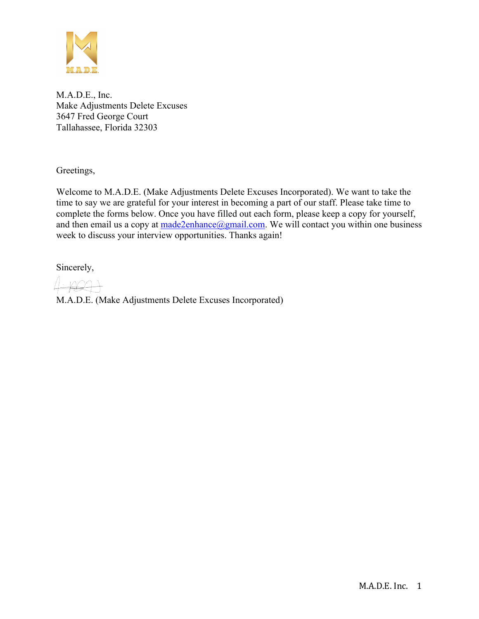

M.A.D.E., Inc. Make Adjustments Delete Excuses 3647 Fred George Court Tallahassee, Florida 32303

Greetings,

Welcome to M.A.D.E. (Make Adjustments Delete Excuses Incorporated). We want to take the time to say we are grateful for your interest in becoming a part of our staff. Please take time to complete the forms below. Once you have filled out each form, please keep a copy for yourself, and then email us a copy at  $made 2enhance(\partial gmail.com)$ . We will contact you within one business week to discuss your interview opportunities. Thanks again!

Sincerely,

M.A.D.E. (Make Adjustments Delete Excuses Incorporated)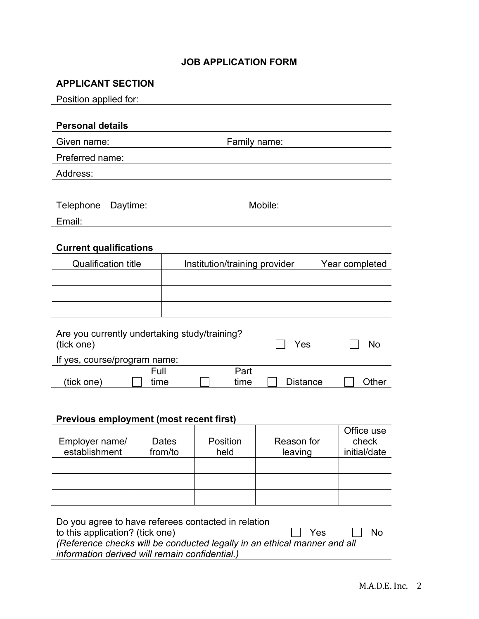#### **JOB APPLICATION FORM**

#### **APPLICANT SECTION**

| Position applied for:                                         |  |         |                               |            |                |
|---------------------------------------------------------------|--|---------|-------------------------------|------------|----------------|
|                                                               |  |         |                               |            |                |
| <b>Personal details</b>                                       |  |         |                               |            |                |
| Given name:                                                   |  |         | Family name:                  |            |                |
| Preferred name:                                               |  |         |                               |            |                |
| Address:                                                      |  |         |                               |            |                |
|                                                               |  |         |                               |            |                |
| Telephone<br>Daytime:                                         |  |         |                               | Mobile:    |                |
| Email:                                                        |  |         |                               |            |                |
|                                                               |  |         |                               |            |                |
| <b>Current qualifications</b>                                 |  |         |                               |            |                |
| <b>Qualification title</b>                                    |  |         | Institution/training provider |            | Year completed |
|                                                               |  |         |                               |            |                |
|                                                               |  |         |                               |            |                |
|                                                               |  |         |                               |            |                |
| Are you currently undertaking study/training?<br>(tick one)   |  |         |                               | Yes        | <b>No</b>      |
| If yes, course/program name:                                  |  |         |                               |            |                |
| Full<br>Part<br>(tick one)<br><b>Distance</b><br>time<br>time |  |         |                               |            | Other          |
|                                                               |  |         |                               |            |                |
| <b>Previous employment (most recent first)</b>                |  |         |                               |            |                |
|                                                               |  |         |                               |            | Office use     |
| Employer name/                                                |  | Dates   | Position                      | Reason for | check          |
| establishment                                                 |  | from/to | held                          | leaving    | initial/date   |
|                                                               |  |         |                               |            |                |
|                                                               |  |         |                               |            |                |
|                                                               |  |         |                               |            |                |
| Do you agree to have referees contacted in relation           |  |         |                               |            |                |

| to this application? (tick one)                                          | II Yes | II No |
|--------------------------------------------------------------------------|--------|-------|
| (Reference checks will be conducted legally in an ethical manner and all |        |       |
| information derived will remain confidential.)                           |        |       |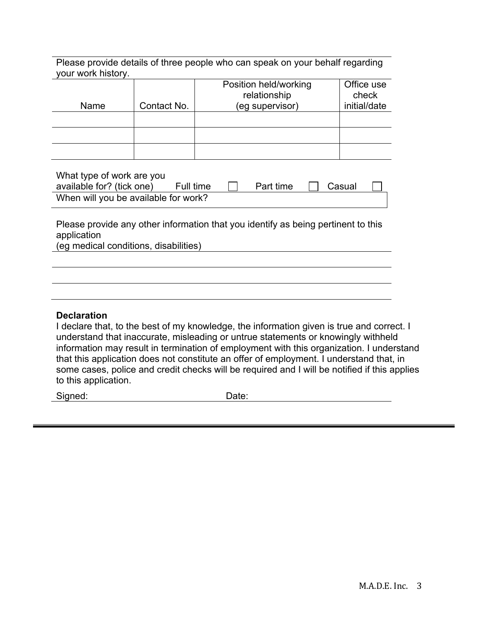Please provide details of three people who can speak on your behalf regarding your work history.

| Name | Contact No. | Position held/working<br>relationship<br>(eg supervisor) | Office use<br>check<br>initial/date |
|------|-------------|----------------------------------------------------------|-------------------------------------|
|      |             |                                                          |                                     |
|      |             |                                                          |                                     |
|      |             |                                                          |                                     |

| What type of work are you            |           |           |        |  |
|--------------------------------------|-----------|-----------|--------|--|
| available for? (tick one)            | Full time | Part time | Casual |  |
| When will you be available for work? |           |           |        |  |

Please provide any other information that you identify as being pertinent to this application (eg medical conditions, disabilities)

#### **Declaration**

I declare that, to the best of my knowledge, the information given is true and correct. I understand that inaccurate, misleading or untrue statements or knowingly withheld information may result in termination of employment with this organization. I understand that this application does not constitute an offer of employment. I understand that, in some cases, police and credit checks will be required and I will be notified if this applies to this application.

Signed: Date: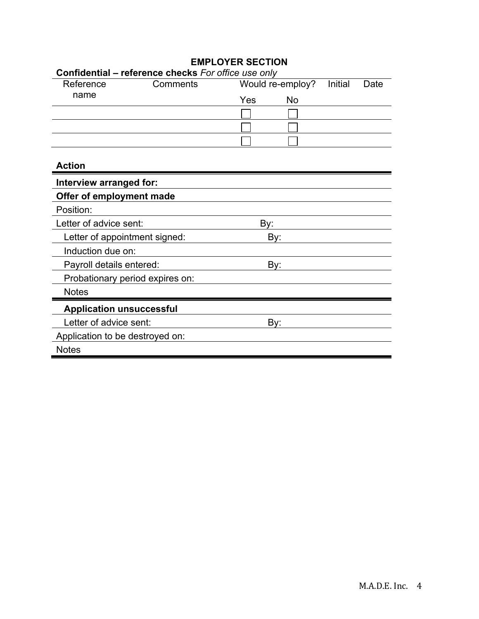|                                 | Confidential - reference checks For office use only |     |                  |         |      |
|---------------------------------|-----------------------------------------------------|-----|------------------|---------|------|
| Reference                       | Comments                                            |     | Would re-employ? | Initial | Date |
| name                            |                                                     | Yes | <b>No</b>        |         |      |
|                                 |                                                     |     |                  |         |      |
|                                 |                                                     |     |                  |         |      |
|                                 |                                                     |     |                  |         |      |
| <b>Action</b>                   |                                                     |     |                  |         |      |
| Interview arranged for:         |                                                     |     |                  |         |      |
| Offer of employment made        |                                                     |     |                  |         |      |
| Position:                       |                                                     |     |                  |         |      |
| Letter of advice sent:          |                                                     | By: |                  |         |      |
| Letter of appointment signed:   |                                                     | By: |                  |         |      |
| Induction due on:               |                                                     |     |                  |         |      |
| Payroll details entered:        |                                                     | By: |                  |         |      |
| Probationary period expires on: |                                                     |     |                  |         |      |
| <b>Notes</b>                    |                                                     |     |                  |         |      |
| <b>Application unsuccessful</b> |                                                     |     |                  |         |      |
| Letter of advice sent:          |                                                     | By: |                  |         |      |
| Application to be destroyed on: |                                                     |     |                  |         |      |
| <b>Notes</b>                    |                                                     |     |                  |         |      |

### **EMPLOYER SECTION**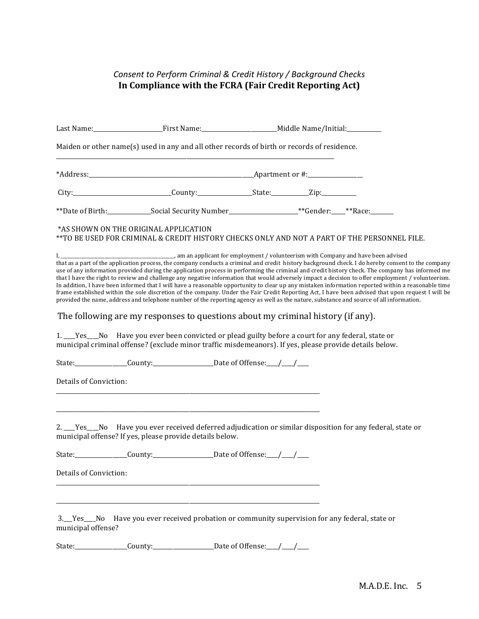#### **Consent to Perform Criminal & Credit History / Background Checks** In Compliance with the FCRA (Fair Credit Reporting Act)

|                        | Last Name:____________________________First Name:_______________________________Middle Name/Initial:__________                                                                                                                                                                                                                                                                                                                                                                                                                |  |                                                                                                                                                                                                                                                                                                                                                                                                                                                                                                                                                                                                                                                                                                                                                                       |
|------------------------|-------------------------------------------------------------------------------------------------------------------------------------------------------------------------------------------------------------------------------------------------------------------------------------------------------------------------------------------------------------------------------------------------------------------------------------------------------------------------------------------------------------------------------|--|-----------------------------------------------------------------------------------------------------------------------------------------------------------------------------------------------------------------------------------------------------------------------------------------------------------------------------------------------------------------------------------------------------------------------------------------------------------------------------------------------------------------------------------------------------------------------------------------------------------------------------------------------------------------------------------------------------------------------------------------------------------------------|
|                        | Maiden or other name(s) used in any and all other records of birth or records of residence.                                                                                                                                                                                                                                                                                                                                                                                                                                   |  |                                                                                                                                                                                                                                                                                                                                                                                                                                                                                                                                                                                                                                                                                                                                                                       |
|                        |                                                                                                                                                                                                                                                                                                                                                                                                                                                                                                                               |  |                                                                                                                                                                                                                                                                                                                                                                                                                                                                                                                                                                                                                                                                                                                                                                       |
|                        |                                                                                                                                                                                                                                                                                                                                                                                                                                                                                                                               |  |                                                                                                                                                                                                                                                                                                                                                                                                                                                                                                                                                                                                                                                                                                                                                                       |
|                        | **Date of Birth:______________Social Security Number_______________________**Gender:____**Race:_________                                                                                                                                                                                                                                                                                                                                                                                                                      |  |                                                                                                                                                                                                                                                                                                                                                                                                                                                                                                                                                                                                                                                                                                                                                                       |
|                        | *AS SHOWN ON THE ORIGINAL APPLICATION<br>**TO BE USED FOR CRIMINAL & CREDIT HISTORY CHECKS ONLY AND NOT A PART OF THE PERSONNEL FILE.                                                                                                                                                                                                                                                                                                                                                                                         |  |                                                                                                                                                                                                                                                                                                                                                                                                                                                                                                                                                                                                                                                                                                                                                                       |
| I,                     | am an applicant for employment / volunteerism with Company and have been advised<br>provided the name, address and telephone number of the reporting agency as well as the nature, substance and source of all information.<br>The following are my responses to questions about my criminal history (if any).<br>1. Fest No Have you ever been convicted or plead guilty before a court for any federal, state or<br>municipal criminal offense? (exclude minor traffic misdemeanors). If yes, please provide details below. |  | that as a part of the application process, the company conducts a criminal and credit history background check. I do hereby consent to the company<br>use of any information provided during the application process in performing the criminal and credit history check. The company has informed me<br>that I have the right to review and challenge any negative information that would adversely impact a decision to offer employment / volunteerism.<br>In addition, I have been informed that I will have a reasonable opportunity to clear up any mistaken information reported within a reasonable time<br>frame established within the sole discretion of the company. Under the Fair Credit Reporting Act, I have been advised that upon request I will be |
|                        | State:_________________County:_______________________Date of Offense:___/___/___                                                                                                                                                                                                                                                                                                                                                                                                                                              |  |                                                                                                                                                                                                                                                                                                                                                                                                                                                                                                                                                                                                                                                                                                                                                                       |
| Details of Conviction: |                                                                                                                                                                                                                                                                                                                                                                                                                                                                                                                               |  |                                                                                                                                                                                                                                                                                                                                                                                                                                                                                                                                                                                                                                                                                                                                                                       |
|                        | 2. ___Yes___No Have you ever received deferred adjudication or similar disposition for any federal, state or<br>municipal offense? If yes, please provide details below.                                                                                                                                                                                                                                                                                                                                                      |  |                                                                                                                                                                                                                                                                                                                                                                                                                                                                                                                                                                                                                                                                                                                                                                       |
|                        | State:_________________County:_______________________Date of Offense:_______________________________                                                                                                                                                                                                                                                                                                                                                                                                                          |  |                                                                                                                                                                                                                                                                                                                                                                                                                                                                                                                                                                                                                                                                                                                                                                       |
| Details of Conviction: |                                                                                                                                                                                                                                                                                                                                                                                                                                                                                                                               |  |                                                                                                                                                                                                                                                                                                                                                                                                                                                                                                                                                                                                                                                                                                                                                                       |
| municipal offense?     | 3. Pes_No Have you ever received probation or community supervision for any federal, state or                                                                                                                                                                                                                                                                                                                                                                                                                                 |  |                                                                                                                                                                                                                                                                                                                                                                                                                                                                                                                                                                                                                                                                                                                                                                       |
|                        | State:_________________County:________________________Date of Offense:____/____/____                                                                                                                                                                                                                                                                                                                                                                                                                                          |  |                                                                                                                                                                                                                                                                                                                                                                                                                                                                                                                                                                                                                                                                                                                                                                       |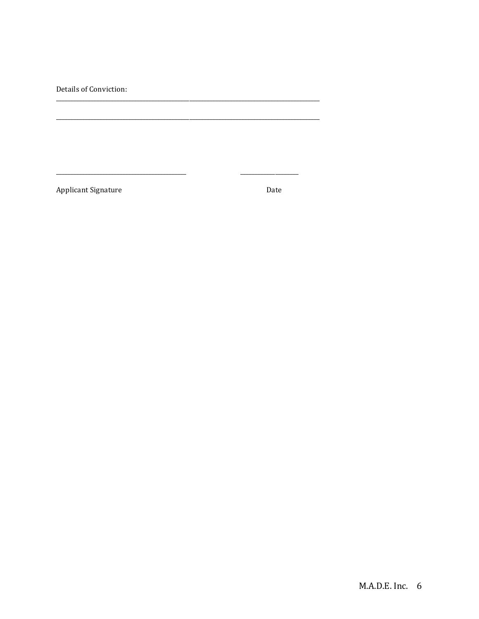Details of Conviction:

Applicant Signature

Date

 $\overline{a}$ 

 $\overline{\phantom{a}}$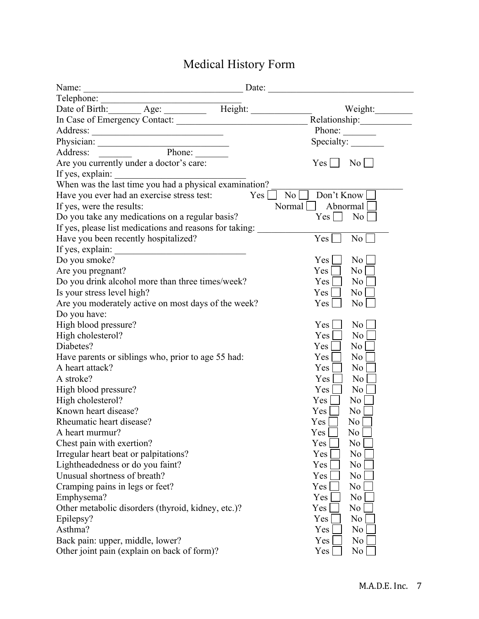# Medical History Form

| Name:<br><u> 1989 - Johann John Stone, mars eta bainar eta bainar eta baina eta baina eta baina eta baina eta baina eta b</u>                                                                                                       |                           | Date:                                            |
|-------------------------------------------------------------------------------------------------------------------------------------------------------------------------------------------------------------------------------------|---------------------------|--------------------------------------------------|
| Telephone:                                                                                                                                                                                                                          |                           |                                                  |
| Date of Birth: Age: Height:                                                                                                                                                                                                         |                           | Weight:                                          |
| In Case of Emergency Contact:                                                                                                                                                                                                       |                           |                                                  |
|                                                                                                                                                                                                                                     |                           | Phone: $\_\_$                                    |
|                                                                                                                                                                                                                                     |                           | Specialty:                                       |
| Physician: <u>National Phone:</u> National Phone: National Phone: National Phone: National Phone: National Phone: National Phone: National Phone: National Phone: National Phone: National Phone: National Phone: National Phone: N |                           |                                                  |
| Are you currently under a doctor's care:                                                                                                                                                                                            |                           | $Yes \Box$<br>$\overline{\phantom{0}}$ No $\Box$ |
| If yes, explain: When was the last time you had a physical examination?                                                                                                                                                             |                           |                                                  |
|                                                                                                                                                                                                                                     |                           |                                                  |
| Have you ever had an exercise stress test:                                                                                                                                                                                          | Yes  <br>$\overline{N_0}$ | Don't Know                                       |
| If yes, were the results:                                                                                                                                                                                                           |                           | Normal $\vert \vert$<br>Abnormal                 |
| Do you take any medications on a regular basis?                                                                                                                                                                                     |                           | $Yes \mid \; \;  $<br>N <sub>0</sub>             |
| If yes, please list medications and reasons for taking:                                                                                                                                                                             |                           |                                                  |
| Have you been recently hospitalized?                                                                                                                                                                                                |                           | Yes  <br>No                                      |
| If yes, explain:<br><u> 1980 - Johann Stoff, fransk politik (d. 1980)</u>                                                                                                                                                           |                           |                                                  |
| Do you smoke?                                                                                                                                                                                                                       |                           | N <sub>o</sub><br><b>Yes</b>                     |
| Are you pregnant?                                                                                                                                                                                                                   |                           | Yes<br>No <sub>1</sub>                           |
| Do you drink alcohol more than three times/week?                                                                                                                                                                                    |                           | Yes<br>N <sub>0</sub>                            |
| Is your stress level high?                                                                                                                                                                                                          |                           | Yes<br>No <sub>1</sub>                           |
| Are you moderately active on most days of the week?                                                                                                                                                                                 |                           | Yes<br>$\overline{N_0}$                          |
| Do you have:                                                                                                                                                                                                                        |                           |                                                  |
| High blood pressure?                                                                                                                                                                                                                |                           | N <sub>o</sub><br>Yes                            |
| High cholesterol?                                                                                                                                                                                                                   |                           | Yes<br>N <sub>0</sub>                            |
| Diabetes?                                                                                                                                                                                                                           |                           | No<br>Yes                                        |
| Have parents or siblings who, prior to age 55 had:                                                                                                                                                                                  |                           | Yes<br>N <sub>o</sub>                            |
| A heart attack?                                                                                                                                                                                                                     |                           | Yes<br>N <sub>0</sub>                            |
| A stroke?                                                                                                                                                                                                                           |                           | Yes<br>N <sub>0</sub>                            |
| High blood pressure?                                                                                                                                                                                                                |                           | Yes<br>N <sub>0</sub>                            |
| High cholesterol?                                                                                                                                                                                                                   |                           | Yes<br>N <sub>o</sub>                            |
| Known heart disease?                                                                                                                                                                                                                |                           | Yes<br>N <sub>o</sub>                            |
| Rheumatic heart disease?                                                                                                                                                                                                            |                           | Yes<br>No                                        |
| A heart murmur?                                                                                                                                                                                                                     |                           | Yes [<br>$\rm{No}$                               |
| Chest pain with exertion?                                                                                                                                                                                                           |                           | N <sub>0</sub><br>Yes                            |
| Irregular heart beat or palpitations?                                                                                                                                                                                               |                           | N <sub>0</sub><br>Yes                            |
| Lightheadedness or do you faint?                                                                                                                                                                                                    |                           | Yes<br>N <sub>0</sub>                            |
| Unusual shortness of breath?                                                                                                                                                                                                        |                           | Yes<br>N <sub>0</sub>                            |
| Cramping pains in legs or feet?                                                                                                                                                                                                     |                           | Yes<br>No                                        |
| Emphysema?                                                                                                                                                                                                                          |                           | Yes<br>N <sub>0</sub>                            |
| Other metabolic disorders (thyroid, kidney, etc.)?                                                                                                                                                                                  |                           | N <sub>0</sub><br>Yes                            |
| Epilepsy?                                                                                                                                                                                                                           |                           | Yes<br>N <sub>0</sub>                            |
| Asthma?                                                                                                                                                                                                                             |                           | N <sub>0</sub><br>Yes                            |
| Back pain: upper, middle, lower?                                                                                                                                                                                                    |                           | Yes<br>N <sub>0</sub>                            |
| Other joint pain (explain on back of form)?                                                                                                                                                                                         |                           | N <sub>0</sub><br>Yes                            |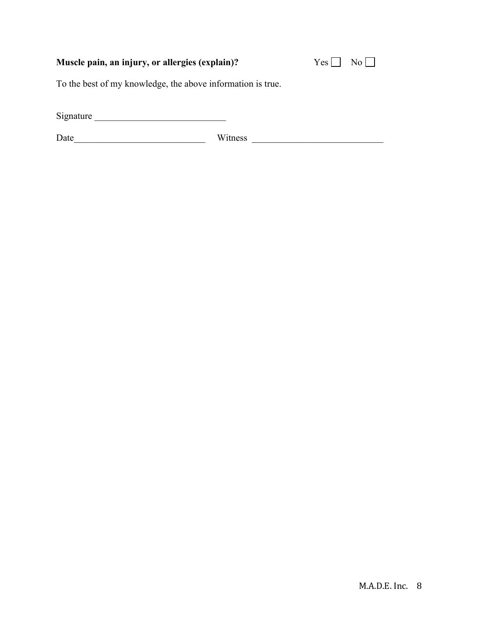## Muscle pain, an injury, or allergies (explain)?

| –∙ |  |
|----|--|
|    |  |

To the best of my knowledge, the above information is true.

Signature \_\_\_\_\_\_\_\_\_\_\_\_\_\_\_\_\_\_\_\_\_\_\_\_\_\_\_\_

Date\_\_\_\_\_\_\_\_\_\_\_\_\_\_\_\_\_\_\_\_\_\_\_\_\_\_\_\_ Witness \_\_\_\_\_\_\_\_\_\_\_\_\_\_\_\_\_\_\_\_\_\_\_\_\_\_\_\_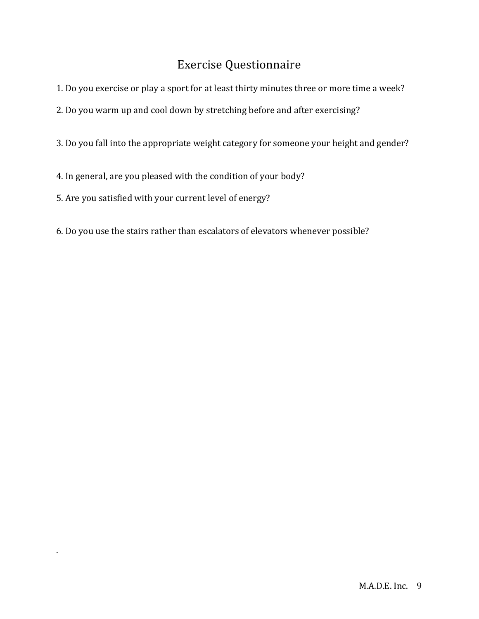# Exercise Questionnaire

- 1. Do you exercise or play a sport for at least thirty minutes three or more time a week?
- 2. Do you warm up and cool down by stretching before and after exercising?
- 3. Do you fall into the appropriate weight category for someone your height and gender?
- 4. In general, are you pleased with the condition of your body?
- 5. Are you satisfied with your current level of energy?

.

6. Do you use the stairs rather than escalators of elevators whenever possible?